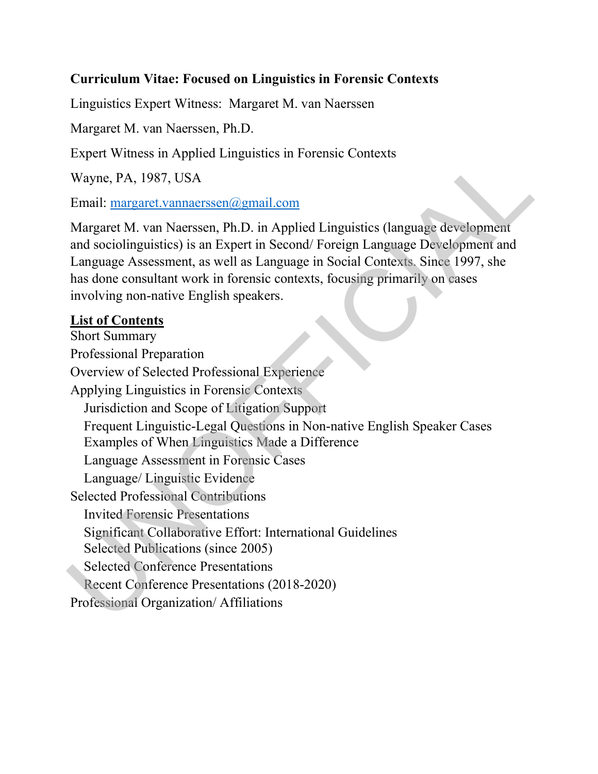### Curriculum Vitae: Focused on Linguistics in Forensic Contexts

Linguistics Expert Witness: Margaret M. van Naerssen

Margaret M. van Naerssen, Ph.D.

Expert Witness in Applied Linguistics in Forensic Contexts

Wayne, PA, 1987, USA

Email: margaret.vannaerssen@gmail.com

Margaret M. van Naerssen, Ph.D. in Applied Linguistics (language development and sociolinguistics) is an Expert in Second/ Foreign Language Development and Language Assessment, as well as Language in Social Contexts. Since 1997, she has done consultant work in forensic contexts, focusing primarily on cases involving non-native English speakers.

#### List of Contents

Short Summary Professional Preparation Overview of Selected Professional Experience Applying Linguistics in Forensic Contexts Jurisdiction and Scope of Litigation Support Frequent Linguistic-Legal Questions in Non-native English Speaker Cases Examples of When Linguistics Made a Difference Language Assessment in Forensic Cases Language/ Linguistic Evidence Selected Professional Contributions Invited Forensic Presentations Significant Collaborative Effort: International Guidelines Selected Publications (since 2005) Selected Conference Presentations Recent Conference Presentations (2018-2020) Professional Organization/ Affiliations Expert Witness in Applied Linguistics in Forensic Contexts<br>
Wayne, PA, 1987, USA<br>
Email: <u>margaret vannerssen@gmail.com</u><br>
Margaret M. van Naerssen@gmail.com<br>
Margaret M. van Naerssen, Ph.D. in Applied Linguistics (language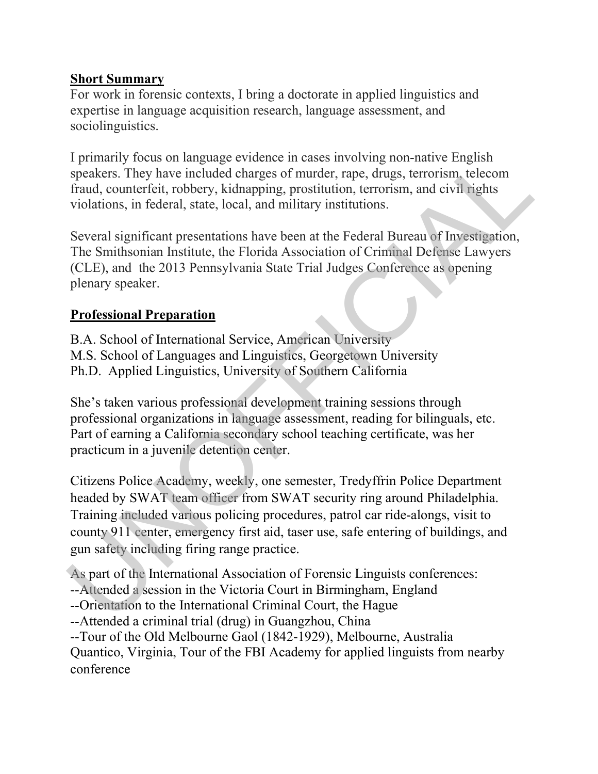#### Short Summary

For work in forensic contexts, I bring a doctorate in applied linguistics and expertise in language acquisition research, language assessment, and sociolinguistics.

I primarily focus on language evidence in cases involving non-native English speakers. They have included charges of murder, rape, drugs, terrorism, telecom fraud, counterfeit, robbery, kidnapping, prostitution, terrorism, and civil rights violations, in federal, state, local, and military institutions.

Several significant presentations have been at the Federal Bureau of Investigation, The Smithsonian Institute, the Florida Association of Criminal Defense Lawyers (CLE), and the 2013 Pennsylvania State Trial Judges Conference as opening plenary speaker.

### Professional Preparation

B.A. School of International Service, American University M.S. School of Languages and Linguistics, Georgetown University Ph.D. Applied Linguistics, University of Southern California

She's taken various professional development training sessions through professional organizations in language assessment, reading for bilinguals, etc. Part of earning a California secondary school teaching certificate, was her practicum in a juvenile detention center.

Citizens Police Academy, weekly, one semester, Tredyffrin Police Department headed by SWAT team officer from SWAT security ring around Philadelphia. Training included various policing procedures, patrol car ride-alongs, visit to county 911 center, emergency first aid, taser use, safe entering of buildings, and gun safety including firing range practice. I primarily focus on language evidence in cases involving non-native English<br>speakers. They have included charges of nurder, rape, drugs, terrorism, telecom<br>fraud, counterfeit, robbery, kidnapping, prostitution, terrorism,

As part of the International Association of Forensic Linguists conferences: --Attended a session in the Victoria Court in Birmingham, England --Orientation to the International Criminal Court, the Hague --Attended a criminal trial (drug) in Guangzhou, China --Tour of the Old Melbourne Gaol (1842-1929), Melbourne, Australia Quantico, Virginia, Tour of the FBI Academy for applied linguists from nearby conference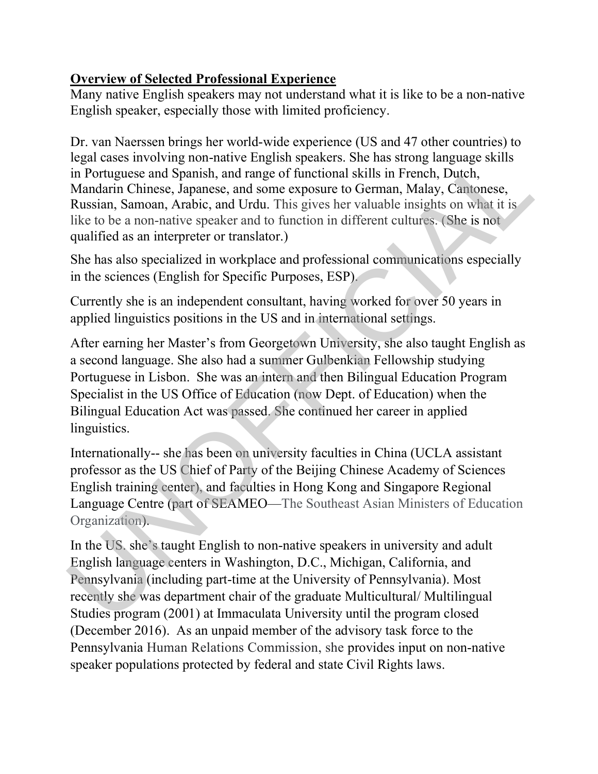## Overview of Selected Professional Experience

Many native English speakers may not understand what it is like to be a non-native English speaker, especially those with limited proficiency.

Dr. van Naerssen brings her world-wide experience (US and 47 other countries) to legal cases involving non-native English speakers. She has strong language skills in Portuguese and Spanish, and range of functional skills in French, Dutch, Mandarin Chinese, Japanese, and some exposure to German, Malay, Cantonese, Russian, Samoan, Arabic, and Urdu. This gives her valuable insights on what it is like to be a non-native speaker and to function in different cultures. (She is not qualified as an interpreter or translator.)

She has also specialized in workplace and professional communications especially in the sciences (English for Specific Purposes, ESP).

Currently she is an independent consultant, having worked for over 50 years in applied linguistics positions in the US and in international settings.

After earning her Master's from Georgetown University, she also taught English as a second language. She also had a summer Gulbenkian Fellowship studying Portuguese in Lisbon. She was an intern and then Bilingual Education Program Specialist in the US Office of Education (now Dept. of Education) when the Bilingual Education Act was passed. She continued her career in applied linguistics. legal cases involving non-native English speakers. She has strong language skills<br>in Portuguese and Spanish, and range of functional skills in French, Dutch,<br>Mandarin Chinese, Japanese, and some exposure to German, Malay,

Internationally-- she has been on university faculties in China (UCLA assistant professor as the US Chief of Party of the Beijing Chinese Academy of Sciences English training center), and faculties in Hong Kong and Singapore Regional Language Centre (part of SEAMEO—The Southeast Asian Ministers of Education Organization).

In the US. she's taught English to non-native speakers in university and adult English language centers in Washington, D.C., Michigan, California, and Pennsylvania (including part-time at the University of Pennsylvania). Most recently she was department chair of the graduate Multicultural/ Multilingual Studies program (2001) at Immaculata University until the program closed (December 2016). As an unpaid member of the advisory task force to the Pennsylvania Human Relations Commission, she provides input on non-native speaker populations protected by federal and state Civil Rights laws.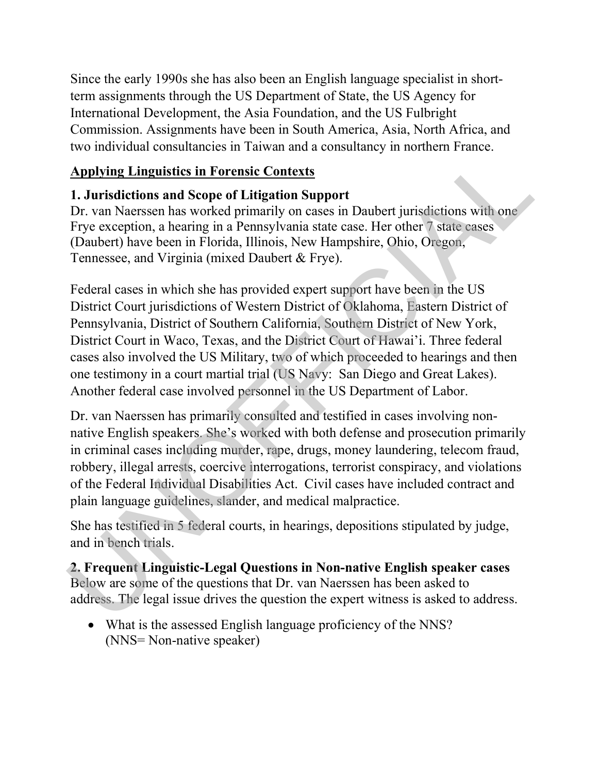Since the early 1990s she has also been an English language specialist in shortterm assignments through the US Department of State, the US Agency for International Development, the Asia Foundation, and the US Fulbright Commission. Assignments have been in South America, Asia, North Africa, and two individual consultancies in Taiwan and a consultancy in northern France.

# Applying Linguistics in Forensic Contexts

# 1. Jurisdictions and Scope of Litigation Support

Dr. van Naerssen has worked primarily on cases in Daubert jurisdictions with one Frye exception, a hearing in a Pennsylvania state case. Her other 7 state cases (Daubert) have been in Florida, Illinois, New Hampshire, Ohio, Oregon, Tennessee, and Virginia (mixed Daubert & Frye).

Federal cases in which she has provided expert support have been in the US District Court jurisdictions of Western District of Oklahoma, Eastern District of Pennsylvania, District of Southern California, Southern District of New York, District Court in Waco, Texas, and the District Court of Hawai'i. Three federal cases also involved the US Military, two of which proceeded to hearings and then one testimony in a court martial trial (US Navy: San Diego and Great Lakes). Another federal case involved personnel in the US Department of Labor. Now individual consulances in Tatwari and a consulancy in notional reade.<br> **Applying Lingmisties in Torentic Contexts**<br>
Dr. van Naerssen has worked primarily on cases in Daubert jurisdictions with one<br>
Frye exception, a he

Dr. van Naerssen has primarily consulted and testified in cases involving nonnative English speakers. She's worked with both defense and prosecution primarily in criminal cases including murder, rape, drugs, money laundering, telecom fraud, robbery, illegal arrests, coercive interrogations, terrorist conspiracy, and violations of the Federal Individual Disabilities Act. Civil cases have included contract and plain language guidelines, slander, and medical malpractice.

She has testified in 5 federal courts, in hearings, depositions stipulated by judge, and in bench trials.

2. Frequent Linguistic-Legal Questions in Non-native English speaker cases Below are some of the questions that Dr. van Naerssen has been asked to address. The legal issue drives the question the expert witness is asked to address.

 What is the assessed English language proficiency of the NNS? (NNS= Non-native speaker)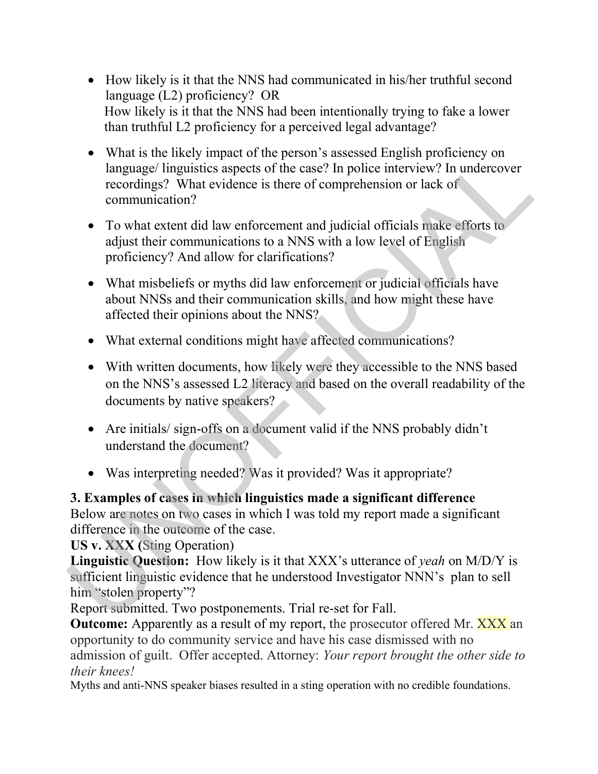- How likely is it that the NNS had communicated in his/her truthful second language (L2) proficiency? OR How likely is it that the NNS had been intentionally trying to fake a lower than truthful L2 proficiency for a perceived legal advantage?
- What is the likely impact of the person's assessed English proficiency on language/ linguistics aspects of the case? In police interview? In undercover recordings? What evidence is there of comprehension or lack of communication? • What is the likely impact of the person's assessed English proficiency on<br>
language' linguistics aspects of the case? In police interiview? In undercover<br>
recordings? What evidence is there of comprehension or lack of<br>
	- To what extent did law enforcement and judicial officials make efforts to adjust their communications to a NNS with a low level of English proficiency? And allow for clarifications?
	- What misbeliefs or myths did law enforcement or judicial officials have about NNSs and their communication skills, and how might these have affected their opinions about the NNS?
	- What external conditions might have affected communications?
	- With written documents, how likely were they accessible to the NNS based on the NNS's assessed L2 literacy and based on the overall readability of the documents by native speakers?
	- Are initials/ sign-offs on a document valid if the NNS probably didn't understand the document?
	- Was interpreting needed? Was it provided? Was it appropriate?

3. Examples of cases in which linguistics made a significant difference Below are notes on two cases in which I was told my report made a significant difference in the outcome of the case.

US v. XXX (Sting Operation)

Linguistic Question: How likely is it that XXX's utterance of *yeah* on M/D/Y is sufficient linguistic evidence that he understood Investigator NNN's plan to sell him "stolen property"?

Report submitted. Two postponements. Trial re-set for Fall.

**Outcome:** Apparently as a result of my report, the prosecutor offered Mr. XXX an opportunity to do community service and have his case dismissed with no admission of guilt. Offer accepted. Attorney: Your report brought the other side to their knees!

Myths and anti-NNS speaker biases resulted in a sting operation with no credible foundations.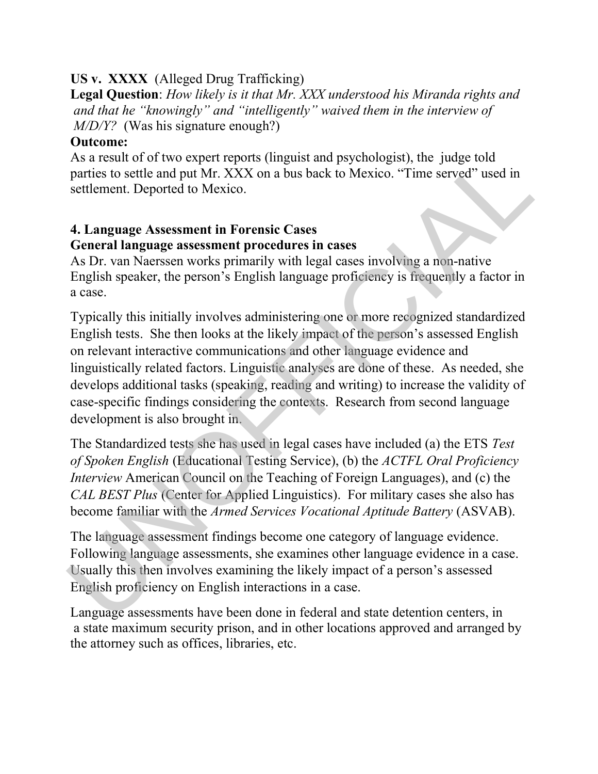### US v. XXXX (Alleged Drug Trafficking)

Legal Question: How likely is it that Mr. XXX understood his Miranda rights and and that he "knowingly" and "intelligently" waived them in the interview of M/D/Y? (Was his signature enough?)

### Outcome:

As a result of of two expert reports (linguist and psychologist), the judge told parties to settle and put Mr. XXX on a bus back to Mexico. "Time served" used in settlement. Deported to Mexico.

## 4. Language Assessment in Forensic Cases General language assessment procedures in cases

As Dr. van Naerssen works primarily with legal cases involving a non-native English speaker, the person's English language proficiency is frequently a factor in a case.

Typically this initially involves administering one or more recognized standardized English tests. She then looks at the likely impact of the person's assessed English on relevant interactive communications and other language evidence and linguistically related factors. Linguistic analyses are done of these. As needed, she develops additional tasks (speaking, reading and writing) to increase the validity of case-specific findings considering the contexts. Research from second language development is also brought in. As a result of of two expert reports (linguist and psychologist), the judge told<br>parties to strelle and put Mr. XXX on a bus back to Mexico. "Time served" used in<br>settlement. Deported to Mexico. An bus back to Mexico. "Ti

The Standardized tests she has used in legal cases have included (a) the ETS Test of Spoken English (Educational Testing Service), (b) the ACTFL Oral Proficiency Interview American Council on the Teaching of Foreign Languages), and (c) the CAL BEST Plus (Center for Applied Linguistics). For military cases she also has become familiar with the Armed Services Vocational Aptitude Battery (ASVAB).

The language assessment findings become one category of language evidence. Following language assessments, she examines other language evidence in a case. Usually this then involves examining the likely impact of a person's assessed English proficiency on English interactions in a case.

Language assessments have been done in federal and state detention centers, in a state maximum security prison, and in other locations approved and arranged by the attorney such as offices, libraries, etc.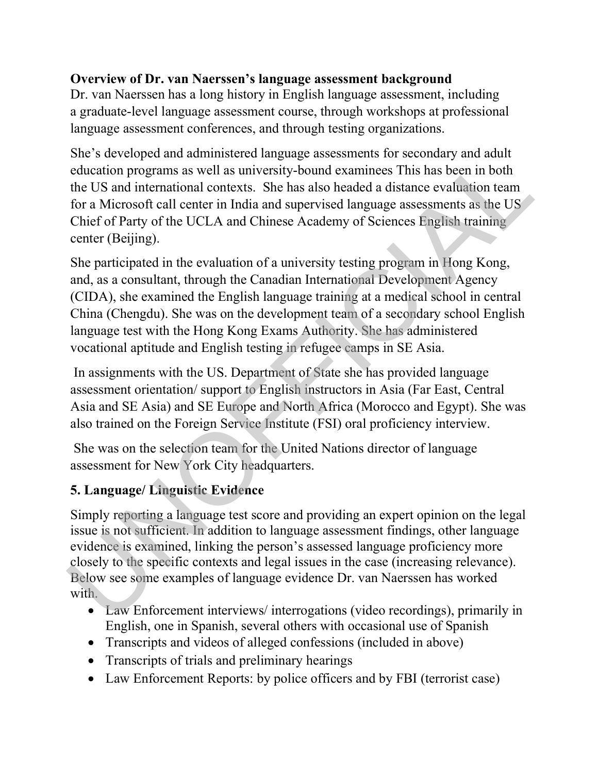### Overview of Dr. van Naerssen's language assessment background

Dr. van Naerssen has a long history in English language assessment, including a graduate-level language assessment course, through workshops at professional language assessment conferences, and through testing organizations.

She's developed and administered language assessments for secondary and adult education programs as well as university-bound examinees This has been in both the US and international contexts. She has also headed a distance evaluation team for a Microsoft call center in India and supervised language assessments as the US Chief of Party of the UCLA and Chinese Academy of Sciences English training center (Beijing).

She participated in the evaluation of a university testing program in Hong Kong, and, as a consultant, through the Canadian International Development Agency (CIDA), she examined the English language training at a medical school in central China (Chengdu). She was on the development team of a secondary school English language test with the Hong Kong Exams Authority. She has administered vocational aptitude and English testing in refugee camps in SE Asia. She's developed and administered language assessments for secondary and adult<br>education programs as well as university-bound examiness This has been in both<br>the US and international contexts. She has also headed a distanc

 In assignments with the US. Department of State she has provided language assessment orientation/ support to English instructors in Asia (Far East, Central Asia and SE Asia) and SE Europe and North Africa (Morocco and Egypt). She was also trained on the Foreign Service Institute (FSI) oral proficiency interview.

 She was on the selection team for the United Nations director of language assessment for New York City headquarters.

## 5. Language/ Linguistic Evidence

Simply reporting a language test score and providing an expert opinion on the legal issue is not sufficient. In addition to language assessment findings, other language evidence is examined, linking the person's assessed language proficiency more closely to the specific contexts and legal issues in the case (increasing relevance). Below see some examples of language evidence Dr. van Naerssen has worked with.

- Law Enforcement interviews/ interrogations (video recordings), primarily in English, one in Spanish, several others with occasional use of Spanish
- Transcripts and videos of alleged confessions (included in above)
- Transcripts of trials and preliminary hearings
- Law Enforcement Reports: by police officers and by FBI (terrorist case)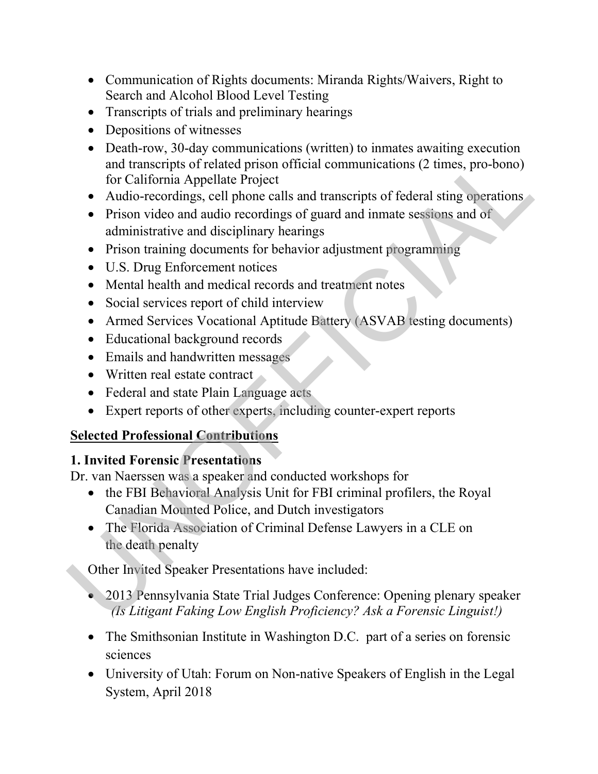- Communication of Rights documents: Miranda Rights/Waivers, Right to Search and Alcohol Blood Level Testing
- Transcripts of trials and preliminary hearings
- Depositions of witnesses
- Death-row, 30-day communications (written) to inmates awaiting execution and transcripts of related prison official communications (2 times, pro-bono) for California Appellate Project **Dealt-Tow, 30-day communications (whiteh)** to immake awatung executor<br>and transcripts of related prison official communications (2 times, pro-bono)<br>for California Appellate Project<br>Audio-recordings, cell phone calls and
	- Audio-recordings, cell phone calls and transcripts of federal sting operations
	- Prison video and audio recordings of guard and inmate sessions and of administrative and disciplinary hearings
	- Prison training documents for behavior adjustment programming
	- U.S. Drug Enforcement notices
	- Mental health and medical records and treatment notes
	- Social services report of child interview
	- Armed Services Vocational Aptitude Battery (ASVAB testing documents)
	- Educational background records
	- Emails and handwritten messages
	- Written real estate contract
	- Federal and state Plain Language acts
	- Expert reports of other experts, including counter-expert reports

### Selected Professional Contributions

## 1. Invited Forensic Presentations

Dr. van Naerssen was a speaker and conducted workshops for

- the FBI Behavioral Analysis Unit for FBI criminal profilers, the Royal Canadian Mounted Police, and Dutch investigators
- The Florida Association of Criminal Defense Lawyers in a CLE on the death penalty

Other Invited Speaker Presentations have included:

- 2013 Pennsylvania State Trial Judges Conference: Opening plenary speaker (Is Litigant Faking Low English Proficiency? Ask a Forensic Linguist!)
- The Smithsonian Institute in Washington D.C. part of a series on forensic sciences
- University of Utah: Forum on Non-native Speakers of English in the Legal System, April 2018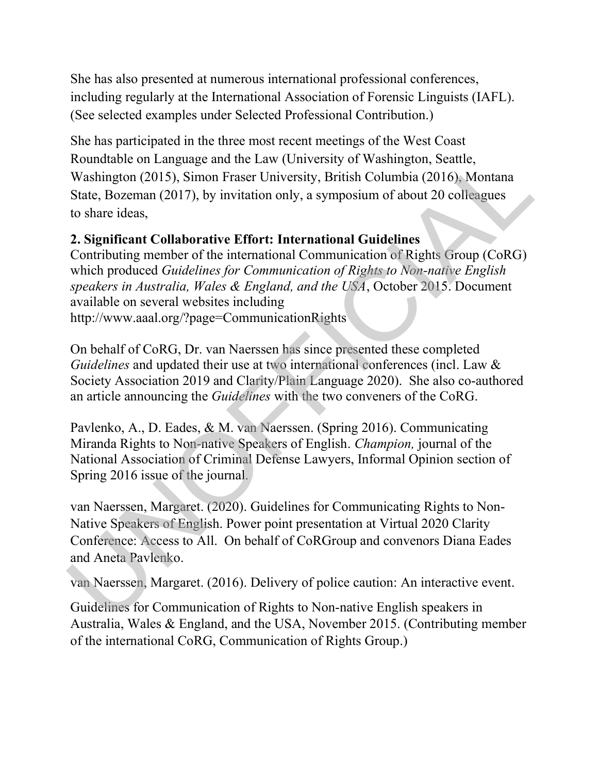She has also presented at numerous international professional conferences, including regularly at the International Association of Forensic Linguists (IAFL). (See selected examples under Selected Professional Contribution.)

She has participated in the three most recent meetings of the West Coast Roundtable on Language and the Law (University of Washington, Seattle, Washington (2015), Simon Fraser University, British Columbia (2016), Montana State, Bozeman (2017), by invitation only, a symposium of about 20 colleagues to share ideas,

### 2. Significant Collaborative Effort: International Guidelines

Contributing member of the international Communication of Rights Group (CoRG) which produced Guidelines for Communication of Rights to Non-native English speakers in Australia, Wales & England, and the USA, October 2015. Document available on several websites including http://www.aaal.org/?page=CommunicationRights Roundtable on Language and the Law (University of Washington, Seattle,<br>Washington (2015), Simon Fraser University, British Columbia (2016). Montana<br>State, Bozeman (2017), by invitation only, a symposium of about 20 collea

On behalf of CoRG, Dr. van Naerssen has since presented these completed Guidelines and updated their use at two international conferences (incl. Law & Society Association 2019 and Clarity/Plain Language 2020). She also co-authored an article announcing the Guidelines with the two conveners of the CoRG.

Pavlenko, A., D. Eades, & M. van Naerssen. (Spring 2016). Communicating Miranda Rights to Non-native Speakers of English. Champion, journal of the National Association of Criminal Defense Lawyers, Informal Opinion section of Spring 2016 issue of the journal.

van Naerssen, Margaret. (2020). Guidelines for Communicating Rights to Non-Native Speakers of English. Power point presentation at Virtual 2020 Clarity Conference: Access to All. On behalf of CoRGroup and convenors Diana Eades and Aneta Pavlenko.

van Naerssen, Margaret. (2016). Delivery of police caution: An interactive event.

Guidelines for Communication of Rights to Non-native English speakers in Australia, Wales & England, and the USA, November 2015. (Contributing member of the international CoRG, Communication of Rights Group.)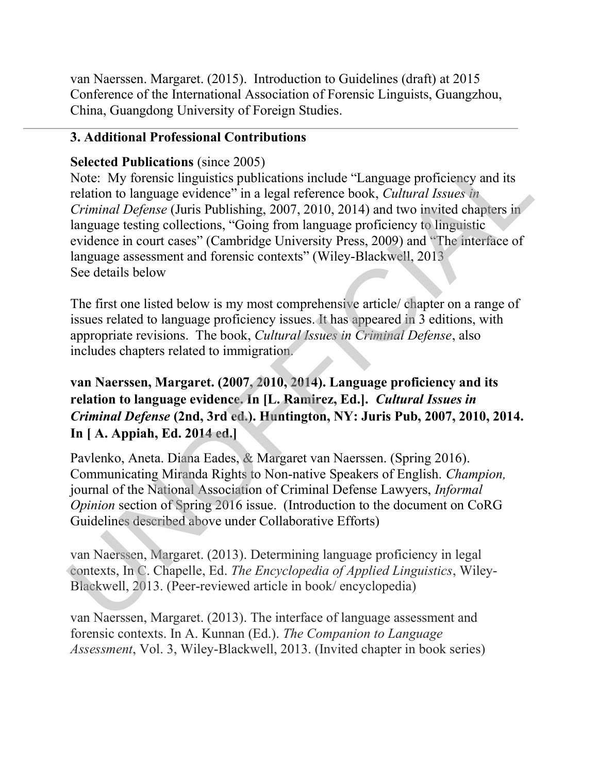van Naerssen. Margaret. (2015). Introduction to Guidelines (draft) at 2015 Conference of the International Association of Forensic Linguists, Guangzhou, China, Guangdong University of Foreign Studies.

### 3. Additional Professional Contributions

### Selected Publications (since 2005)

Note: My forensic linguistics publications include "Language proficiency and its relation to language evidence" in a legal reference book, Cultural Issues in Criminal Defense (Juris Publishing, 2007, 2010, 2014) and two invited chapters in language testing collections, "Going from language proficiency to linguistic evidence in court cases" (Cambridge University Press, 2009) and "The interface of language assessment and forensic contexts" (Wiley-Blackwell, 2013 See details below **Selected Publications** (since 2005)<br>
Note: My forensic linguistics publications include "Language proficiency and its<br>
Note: My forensic linguistics publicalisms and Criminal Defense (Juris Publishing, 2007, 2010, 2014)

The first one listed below is my most comprehensive article/ chapter on a range of issues related to language proficiency issues. It has appeared in 3 editions, with appropriate revisions. The book, Cultural Issues in Criminal Defense, also includes chapters related to immigration.

## van Naerssen, Margaret. (2007, 2010, 2014). Language proficiency and its relation to language evidence. In [L. Ramirez, Ed.]. Cultural Issues in Criminal Defense (2nd, 3rd ed.). Huntington, NY: Juris Pub, 2007, 2010, 2014. In [ A. Appiah, Ed. 2014 ed.]

Pavlenko, Aneta. Diana Eades, & Margaret van Naerssen. (Spring 2016). Communicating Miranda Rights to Non-native Speakers of English. Champion, journal of the National Association of Criminal Defense Lawyers, Informal Opinion section of Spring 2016 issue. (Introduction to the document on CoRG Guidelines described above under Collaborative Efforts)

van Naerssen, Margaret. (2013). Determining language proficiency in legal contexts, In C. Chapelle, Ed. The Encyclopedia of Applied Linguistics, Wiley-Blackwell, 2013. (Peer-reviewed article in book/ encyclopedia)

van Naerssen, Margaret. (2013). The interface of language assessment and forensic contexts. In A. Kunnan (Ed.). The Companion to Language Assessment, Vol. 3, Wiley-Blackwell, 2013. (Invited chapter in book series)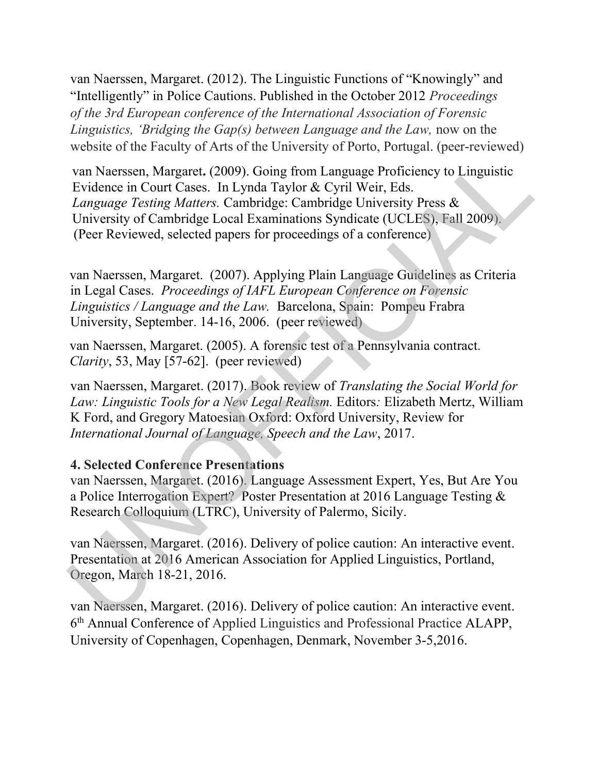van Naerssen, Margaret. (2012). The Linguistic Functions of "Knowingly" and "Intelligently" in Police Cautions. Published in the October 2012 Proceedings of the 3rd European conference of the International Association of Forensic Linguistics, 'Bridging the Gap(s) between Language and the Law, now on the website of the Faculty of Arts of the University of Porto, Portugal. (peer-reviewed)

 van Naerssen, Margaret. (2009). Going from Language Proficiency to Linguistic Evidence in Court Cases. In Lynda Taylor & Cyril Weir, Eds. Language Testing Matters. Cambridge: Cambridge University Press & University of Cambridge Local Examinations Syndicate (UCLES), Fall 2009). (Peer Reviewed, selected papers for proceedings of a conference) weasn Margaret, (2009). Going from Language Profeion: Captiversity and Tartistic Captiversity of Dinguistic Tartistic enforces in Captiversity Captiversity Profeion (Dinguistic Tartistic Comparison Comparison Captiversity

 van Naerssen, Margaret. (2007). Applying Plain Language Guidelines as Criteria in Legal Cases. Proceedings of IAFL European Conference on Forensic Linguistics / Language and the Law. Barcelona, Spain: Pompeu Frabra University, September. 14-16, 2006. (peer reviewed)

 van Naerssen, Margaret. (2005). A forensic test of a Pennsylvania contract. Clarity, 53, May [57-62]. (peer reviewed)

van Naerssen, Margaret. (2017). Book review of Translating the Social World for Law: Linguistic Tools for a New Legal Realism. Editors: Elizabeth Mertz, William K Ford, and Gregory Matoesian Oxford: Oxford University, Review for International Journal of Language, Speech and the Law, 2017.

#### 4. Selected Conference Presentations

van Naerssen, Margaret. (2016). Language Assessment Expert, Yes, But Are You a Police Interrogation Expert? Poster Presentation at 2016 Language Testing & Research Colloquium (LTRC), University of Palermo, Sicily.

van Naerssen, Margaret. (2016). Delivery of police caution: An interactive event. Presentation at 2016 American Association for Applied Linguistics, Portland, Oregon, March 18-21, 2016.

van Naerssen, Margaret. (2016). Delivery of police caution: An interactive event. 6 th Annual Conference of Applied Linguistics and Professional Practice ALAPP, University of Copenhagen, Copenhagen, Denmark, November 3-5,2016.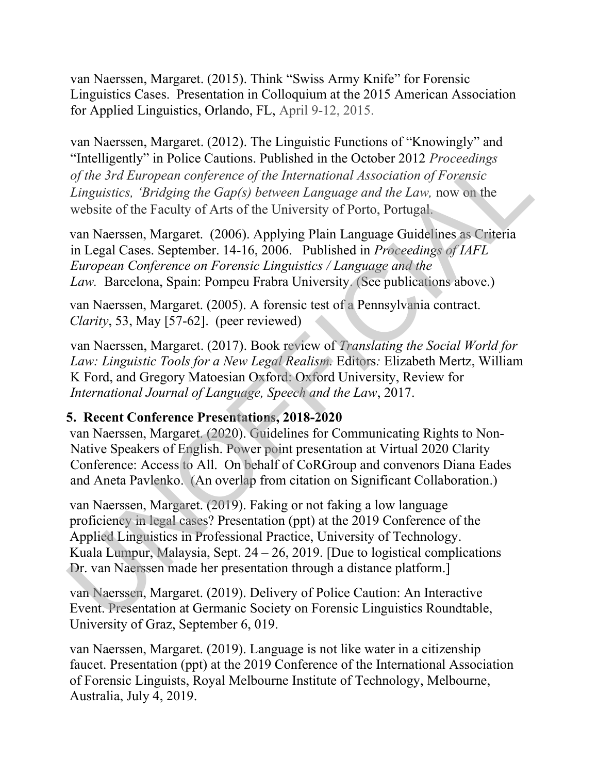van Naerssen, Margaret. (2015). Think "Swiss Army Knife" for Forensic Linguistics Cases. Presentation in Colloquium at the 2015 American Association for Applied Linguistics, Orlando, FL, April 9-12, 2015.

van Naerssen, Margaret. (2012). The Linguistic Functions of "Knowingly" and "Intelligently" in Police Cautions. Published in the October 2012 Proceedings of the 3rd European conference of the International Association of Forensic Linguistics, 'Bridging the Gap(s) between Language and the Law, now on the website of the Faculty of Arts of the University of Porto, Portugal.

 van Naerssen, Margaret. (2006). Applying Plain Language Guidelines as Criteria in Legal Cases. September. 14-16, 2006. Published in Proceedings of IAFL European Conference on Forensic Linguistics / Language and the Law. Barcelona, Spain: Pompeu Frabra University. (See publications above.)

 van Naerssen, Margaret. (2005). A forensic test of a Pennsylvania contract. Clarity, 53, May [57-62]. (peer reviewed)

van Naerssen, Margaret. (2017). Book review of Translating the Social World for Law: Linguistic Tools for a New Legal Realism. Editors: Elizabeth Mertz, William K Ford, and Gregory Matoesian Oxford: Oxford University, Review for International Journal of Language, Speech and the Law, 2017.

### 5. Recent Conference Presentations, 2018-2020

 van Naerssen, Margaret. (2020). Guidelines for Communicating Rights to Non-Native Speakers of English. Power point presentation at Virtual 2020 Clarity Conference: Access to All. On behalf of CoRGroup and convenors Diana Eades and Aneta Pavlenko. (An overlap from citation on Significant Collaboration.)

 van Naerssen, Margaret. (2019). Faking or not faking a low language proficiency in legal cases? Presentation (ppt) at the 2019 Conference of the Applied Linguistics in Professional Practice, University of Technology. Kuala Lumpur, Malaysia, Sept. 24 – 26, 2019. [Due to logistical complications Dr. van Naerssen made her presentation through a distance platform.] "Intelligently" in Police Cautions. Published in the October 2012 *Proceedings*<br>
of the 3rd European conference of the International Association of Forensic<br>
Linguistics, Teridging the Gap(s) between Language and the Law,

 van Naerssen, Margaret. (2019). Delivery of Police Caution: An Interactive Event. Presentation at Germanic Society on Forensic Linguistics Roundtable, University of Graz, September 6, 019.

 van Naerssen, Margaret. (2019). Language is not like water in a citizenship faucet. Presentation (ppt) at the 2019 Conference of the International Association of Forensic Linguists, Royal Melbourne Institute of Technology, Melbourne, Australia, July 4, 2019.